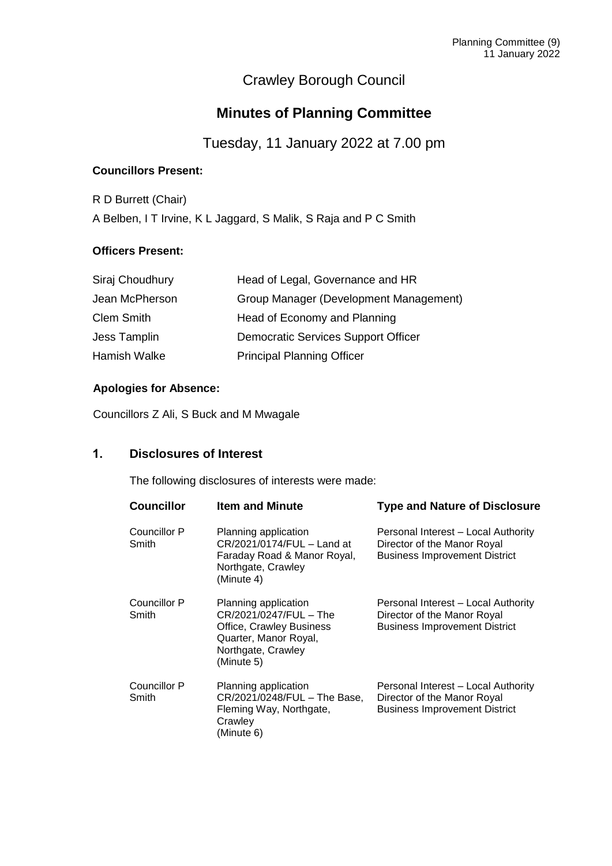# Crawley Borough Council

## **Minutes of Planning Committee**

Tuesday, 11 January 2022 at 7.00 pm

## **Councillors Present:**

R D Burrett (Chair) A Belben, I T Irvine, K L Jaggard, S Malik, S Raja and P C Smith

## **Officers Present:**

| Siraj Choudhury   | Head of Legal, Governance and HR       |
|-------------------|----------------------------------------|
| Jean McPherson    | Group Manager (Development Management) |
| <b>Clem Smith</b> | Head of Economy and Planning           |
| Jess Tamplin      | Democratic Services Support Officer    |
| Hamish Walke      | <b>Principal Planning Officer</b>      |
|                   |                                        |

## **Apologies for Absence:**

Councillors Z Ali, S Buck and M Mwagale

## **1. Disclosures of Interest**

The following disclosures of interests were made:

| <b>Councillor</b>     | <b>Item and Minute</b>                                                                                                                  | <b>Type and Nature of Disclosure</b>                                                                       |
|-----------------------|-----------------------------------------------------------------------------------------------------------------------------------------|------------------------------------------------------------------------------------------------------------|
| Councillor P<br>Smith | Planning application<br>CR/2021/0174/FUL - Land at<br>Faraday Road & Manor Royal,<br>Northgate, Crawley<br>(Minute 4)                   | Personal Interest – Local Authority<br>Director of the Manor Royal<br><b>Business Improvement District</b> |
| Councillor P<br>Smith | Planning application<br>CR/2021/0247/FUL - The<br>Office, Crawley Business<br>Quarter, Manor Royal,<br>Northgate, Crawley<br>(Minute 5) | Personal Interest – Local Authority<br>Director of the Manor Royal<br><b>Business Improvement District</b> |
| Councillor P<br>Smith | Planning application<br>CR/2021/0248/FUL - The Base,<br>Fleming Way, Northgate,<br>Crawley<br>(Minute 6)                                | Personal Interest – Local Authority<br>Director of the Manor Royal<br><b>Business Improvement District</b> |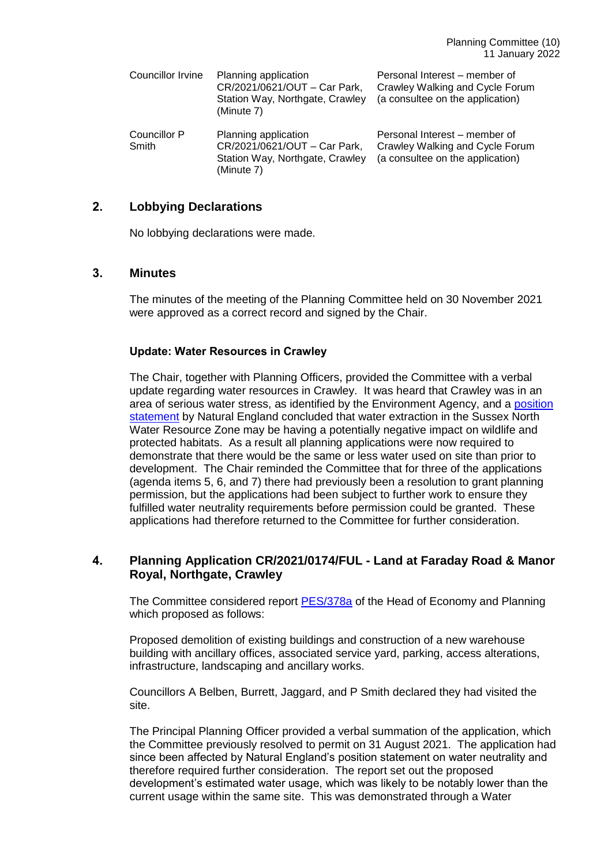| Councillor Irvine     | Planning application<br>CR/2021/0621/OUT - Car Park,<br>Station Way, Northgate, Crawley<br>(Minute 7) | Personal Interest – member of<br>Crawley Walking and Cycle Forum<br>(a consultee on the application) |
|-----------------------|-------------------------------------------------------------------------------------------------------|------------------------------------------------------------------------------------------------------|
| Councillor P<br>Smith | Planning application<br>CR/2021/0621/OUT - Car Park,<br>Station Way, Northgate, Crawley<br>(Minute 7) | Personal Interest – member of<br>Crawley Walking and Cycle Forum<br>(a consultee on the application) |

## **2. Lobbying Declarations**

No lobbying declarations were made.

## **3. Minutes**

The minutes of the meeting of the Planning Committee held on 30 November 2021 were approved as a correct record and signed by the Chair.

## **Update: Water Resources in Crawley**

The Chair, together with Planning Officers, provided the Committee with a verbal update regarding water resources in Crawley. It was heard that Crawley was in an area of serious water stress, as identified by the Environment Agency, and a [position](https://crawley.gov.uk/planning/planning-applications/water-resources-crawley)  [statement](https://crawley.gov.uk/planning/planning-applications/water-resources-crawley) by Natural England concluded that water extraction in the Sussex North Water Resource Zone may be having a potentially negative impact on wildlife and protected habitats. As a result all planning applications were now required to demonstrate that there would be the same or less water used on site than prior to development. The Chair reminded the Committee that for three of the applications (agenda items 5, 6, and 7) there had previously been a resolution to grant planning permission, but the applications had been subject to further work to ensure they fulfilled water neutrality requirements before permission could be granted. These applications had therefore returned to the Committee for further consideration.

## **4. Planning Application CR/2021/0174/FUL - Land at Faraday Road & Manor Royal, Northgate, Crawley**

The Committee considered report **PES/378a** of the Head of Economy and Planning which proposed as follows:

Proposed demolition of existing buildings and construction of a new warehouse building with ancillary offices, associated service yard, parking, access alterations, infrastructure, landscaping and ancillary works.

Councillors A Belben, Burrett, Jaggard, and P Smith declared they had visited the site.

The Principal Planning Officer provided a verbal summation of the application, which the Committee previously resolved to permit on 31 August 2021. The application had since been affected by Natural England's position statement on water neutrality and therefore required further consideration. The report set out the proposed development's estimated water usage, which was likely to be notably lower than the current usage within the same site. This was demonstrated through a Water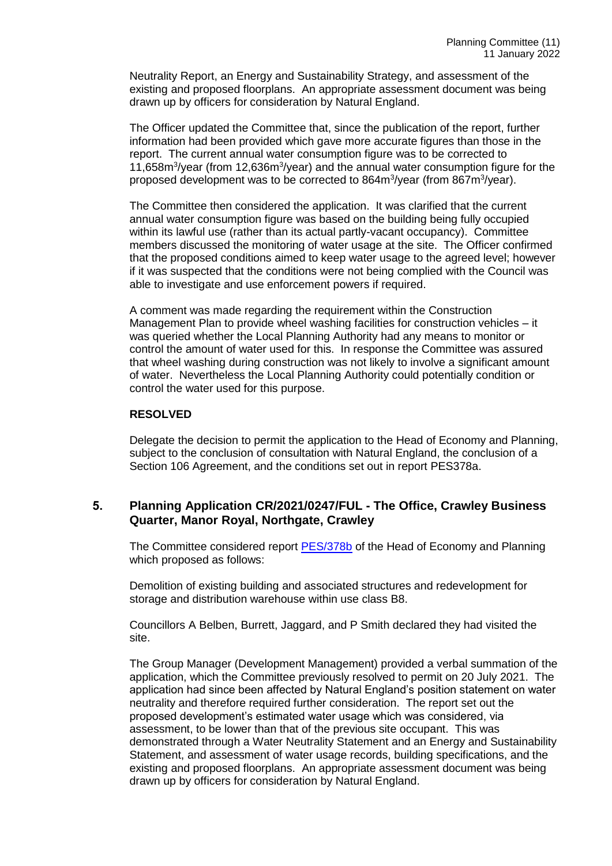Neutrality Report, an Energy and Sustainability Strategy, and assessment of the existing and proposed floorplans. An appropriate assessment document was being drawn up by officers for consideration by Natural England.

The Officer updated the Committee that, since the publication of the report, further information had been provided which gave more accurate figures than those in the report. The current annual water consumption figure was to be corrected to 11,658m<sup>3</sup>/year (from 12,636m<sup>3</sup>/year) and the annual water consumption figure for the proposed development was to be corrected to 864m<sup>3</sup>/year (from 867m<sup>3</sup>/year).

The Committee then considered the application. It was clarified that the current annual water consumption figure was based on the building being fully occupied within its lawful use (rather than its actual partly-vacant occupancy). Committee members discussed the monitoring of water usage at the site. The Officer confirmed that the proposed conditions aimed to keep water usage to the agreed level; however if it was suspected that the conditions were not being complied with the Council was able to investigate and use enforcement powers if required.

A comment was made regarding the requirement within the Construction Management Plan to provide wheel washing facilities for construction vehicles – it was queried whether the Local Planning Authority had any means to monitor or control the amount of water used for this. In response the Committee was assured that wheel washing during construction was not likely to involve a significant amount of water. Nevertheless the Local Planning Authority could potentially condition or control the water used for this purpose.

#### **RESOLVED**

Delegate the decision to permit the application to the Head of Economy and Planning, subject to the conclusion of consultation with Natural England, the conclusion of a Section 106 Agreement, and the conditions set out in report PES378a.

## **5. Planning Application CR/2021/0247/FUL - The Office, Crawley Business Quarter, Manor Royal, Northgate, Crawley**

The Committee considered report [PES/378b](https://democracy.crawley.gov.uk/documents/s21250/PES378b%20-%20The%20Office%20Crawley%20Business%20Quarter%20Manor%20Royal%20Northgate%20CR20210247FUL.pdf) of the Head of Economy and Planning which proposed as follows:

Demolition of existing building and associated structures and redevelopment for storage and distribution warehouse within use class B8.

Councillors A Belben, Burrett, Jaggard, and P Smith declared they had visited the site.

The Group Manager (Development Management) provided a verbal summation of the application, which the Committee previously resolved to permit on 20 July 2021. The application had since been affected by Natural England's position statement on water neutrality and therefore required further consideration. The report set out the proposed development's estimated water usage which was considered, via assessment, to be lower than that of the previous site occupant. This was demonstrated through a Water Neutrality Statement and an Energy and Sustainability Statement, and assessment of water usage records, building specifications, and the existing and proposed floorplans. An appropriate assessment document was being drawn up by officers for consideration by Natural England.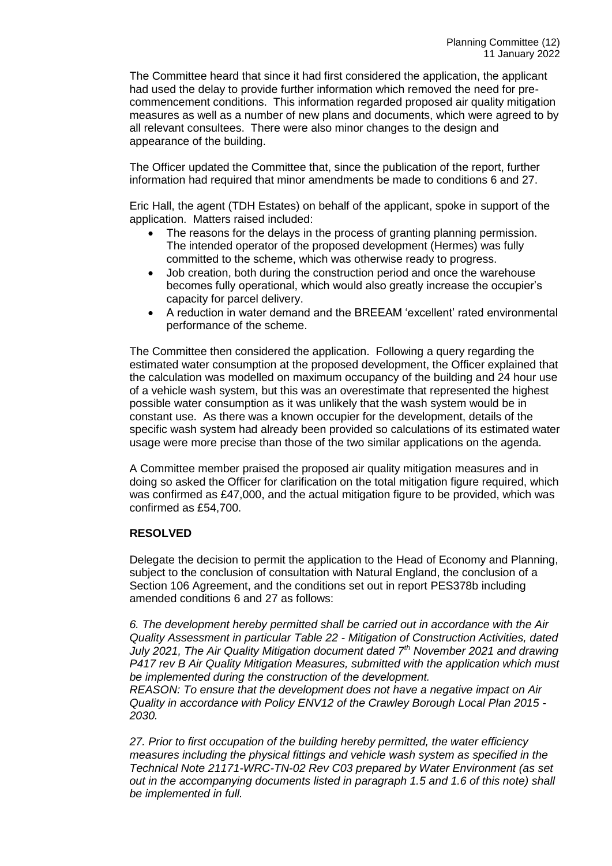The Committee heard that since it had first considered the application, the applicant had used the delay to provide further information which removed the need for precommencement conditions. This information regarded proposed air quality mitigation measures as well as a number of new plans and documents, which were agreed to by all relevant consultees. There were also minor changes to the design and appearance of the building.

The Officer updated the Committee that, since the publication of the report, further information had required that minor amendments be made to conditions 6 and 27.

Eric Hall, the agent (TDH Estates) on behalf of the applicant, spoke in support of the application. Matters raised included:

- The reasons for the delays in the process of granting planning permission. The intended operator of the proposed development (Hermes) was fully committed to the scheme, which was otherwise ready to progress.
- Job creation, both during the construction period and once the warehouse becomes fully operational, which would also greatly increase the occupier's capacity for parcel delivery.
- A reduction in water demand and the BREEAM 'excellent' rated environmental performance of the scheme.

The Committee then considered the application. Following a query regarding the estimated water consumption at the proposed development, the Officer explained that the calculation was modelled on maximum occupancy of the building and 24 hour use of a vehicle wash system, but this was an overestimate that represented the highest possible water consumption as it was unlikely that the wash system would be in constant use. As there was a known occupier for the development, details of the specific wash system had already been provided so calculations of its estimated water usage were more precise than those of the two similar applications on the agenda.

A Committee member praised the proposed air quality mitigation measures and in doing so asked the Officer for clarification on the total mitigation figure required, which was confirmed as £47,000, and the actual mitigation figure to be provided, which was confirmed as £54,700.

#### **RESOLVED**

Delegate the decision to permit the application to the Head of Economy and Planning, subject to the conclusion of consultation with Natural England, the conclusion of a Section 106 Agreement, and the conditions set out in report PES378b including amended conditions 6 and 27 as follows:

*6. The development hereby permitted shall be carried out in accordance with the Air Quality Assessment in particular Table 22 - Mitigation of Construction Activities, dated July 2021, The Air Quality Mitigation document dated 7th November 2021 and drawing P417 rev B Air Quality Mitigation Measures, submitted with the application which must be implemented during the construction of the development.*

*REASON: To ensure that the development does not have a negative impact on Air Quality in accordance with Policy ENV12 of the Crawley Borough Local Plan 2015 - 2030.* 

*27. Prior to first occupation of the building hereby permitted, the water efficiency measures including the physical fittings and vehicle wash system as specified in the Technical Note 21171-WRC-TN-02 Rev C03 prepared by Water Environment (as set out in the accompanying documents listed in paragraph 1.5 and 1.6 of this note) shall be implemented in full.*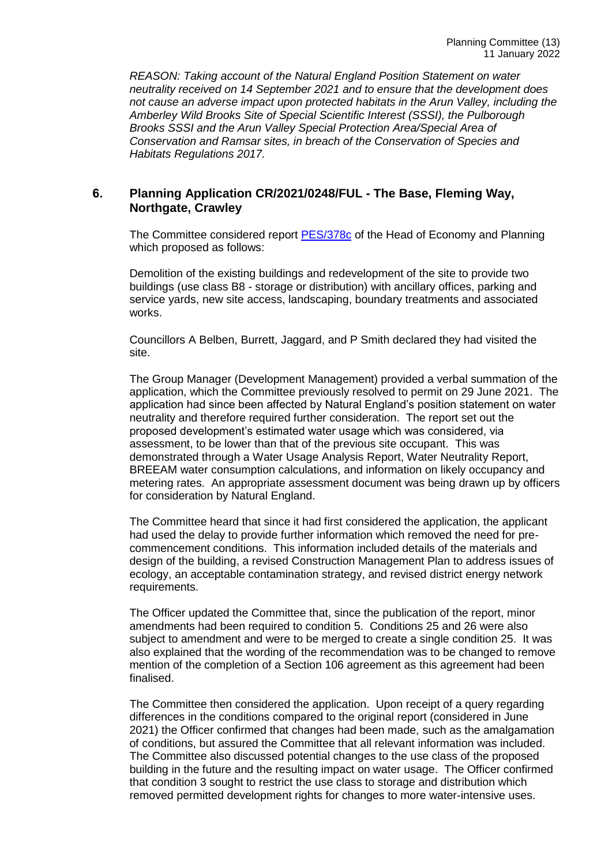*REASON: Taking account of the Natural England Position Statement on water neutrality received on 14 September 2021 and to ensure that the development does not cause an adverse impact upon protected habitats in the Arun Valley, including the Amberley Wild Brooks Site of Special Scientific Interest (SSSI), the Pulborough Brooks SSSI and the Arun Valley Special Protection Area/Special Area of Conservation and Ramsar sites, in breach of the Conservation of Species and Habitats Regulations 2017.*

## **6. Planning Application CR/2021/0248/FUL - The Base, Fleming Way, Northgate, Crawley**

The Committee considered report [PES/378c](https://democracy.crawley.gov.uk/documents/s21253/PES378c%20-%20The%20Base%20Fleming%20Way%20Northgate%20CR20210248FUL.pdf) of the Head of Economy and Planning which proposed as follows:

Demolition of the existing buildings and redevelopment of the site to provide two buildings (use class B8 - storage or distribution) with ancillary offices, parking and service yards, new site access, landscaping, boundary treatments and associated works.

Councillors A Belben, Burrett, Jaggard, and P Smith declared they had visited the site.

The Group Manager (Development Management) provided a verbal summation of the application, which the Committee previously resolved to permit on 29 June 2021. The application had since been affected by Natural England's position statement on water neutrality and therefore required further consideration. The report set out the proposed development's estimated water usage which was considered, via assessment, to be lower than that of the previous site occupant.This was demonstrated through a Water Usage Analysis Report, Water Neutrality Report, BREEAM water consumption calculations, and information on likely occupancy and metering rates. An appropriate assessment document was being drawn up by officers for consideration by Natural England.

The Committee heard that since it had first considered the application, the applicant had used the delay to provide further information which removed the need for precommencement conditions. This information included details of the materials and design of the building, a revised Construction Management Plan to address issues of ecology, an acceptable contamination strategy, and revised district energy network requirements.

The Officer updated the Committee that, since the publication of the report, minor amendments had been required to condition 5. Conditions 25 and 26 were also subject to amendment and were to be merged to create a single condition 25. It was also explained that the wording of the recommendation was to be changed to remove mention of the completion of a Section 106 agreement as this agreement had been finalised.

The Committee then considered the application. Upon receipt of a query regarding differences in the conditions compared to the original report (considered in June 2021) the Officer confirmed that changes had been made, such as the amalgamation of conditions, but assured the Committee that all relevant information was included. The Committee also discussed potential changes to the use class of the proposed building in the future and the resulting impact on water usage. The Officer confirmed that condition 3 sought to restrict the use class to storage and distribution which removed permitted development rights for changes to more water-intensive uses.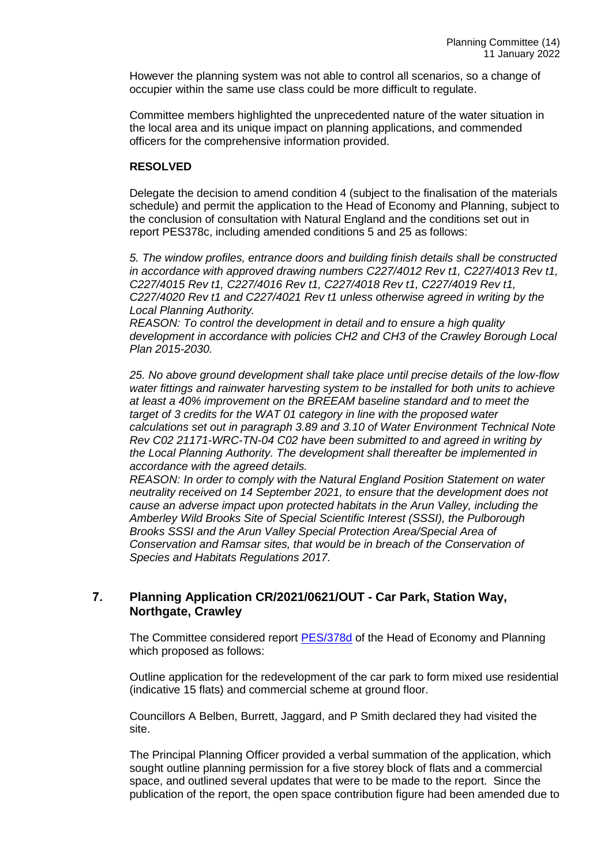However the planning system was not able to control all scenarios, so a change of occupier within the same use class could be more difficult to regulate.

Committee members highlighted the unprecedented nature of the water situation in the local area and its unique impact on planning applications, and commended officers for the comprehensive information provided.

#### **RESOLVED**

Delegate the decision to amend condition 4 (subject to the finalisation of the materials schedule) and permit the application to the Head of Economy and Planning, subject to the conclusion of consultation with Natural England and the conditions set out in report PES378c, including amended conditions 5 and 25 as follows:

*5. The window profiles, entrance doors and building finish details shall be constructed in accordance with approved drawing numbers C227/4012 Rev t1, C227/4013 Rev t1, C227/4015 Rev t1, C227/4016 Rev t1, C227/4018 Rev t1, C227/4019 Rev t1, C227/4020 Rev t1 and C227/4021 Rev t1 unless otherwise agreed in writing by the Local Planning Authority.*

*REASON: To control the development in detail and to ensure a high quality development in accordance with policies CH2 and CH3 of the Crawley Borough Local Plan 2015-2030.*

*25. No above ground development shall take place until precise details of the low-flow water fittings and rainwater harvesting system to be installed for both units to achieve at least a 40% improvement on the BREEAM baseline standard and to meet the target of 3 credits for the WAT 01 category in line with the proposed water calculations set out in paragraph 3.89 and 3.10 of Water Environment Technical Note Rev C02 21171-WRC-TN-04 C02 have been submitted to and agreed in writing by the Local Planning Authority. The development shall thereafter be implemented in accordance with the agreed details.*

*REASON: In order to comply with the Natural England Position Statement on water neutrality received on 14 September 2021, to ensure that the development does not cause an adverse impact upon protected habitats in the Arun Valley, including the Amberley Wild Brooks Site of Special Scientific Interest (SSSI), the Pulborough Brooks SSSI and the Arun Valley Special Protection Area/Special Area of Conservation and Ramsar sites, that would be in breach of the Conservation of Species and Habitats Regulations 2017.*

## **7. Planning Application CR/2021/0621/OUT - Car Park, Station Way, Northgate, Crawley**

The Committee considered report [PES/378d](https://democracy.crawley.gov.uk/documents/s21236/PES378d%20-%20Car%20Park%20Station%20Way%20Northgate%20CR20210621OUT.pdf) of the Head of Economy and Planning which proposed as follows:

Outline application for the redevelopment of the car park to form mixed use residential (indicative 15 flats) and commercial scheme at ground floor.

Councillors A Belben, Burrett, Jaggard, and P Smith declared they had visited the site.

The Principal Planning Officer provided a verbal summation of the application, which sought outline planning permission for a five storey block of flats and a commercial space, and outlined several updates that were to be made to the report. Since the publication of the report, the open space contribution figure had been amended due to